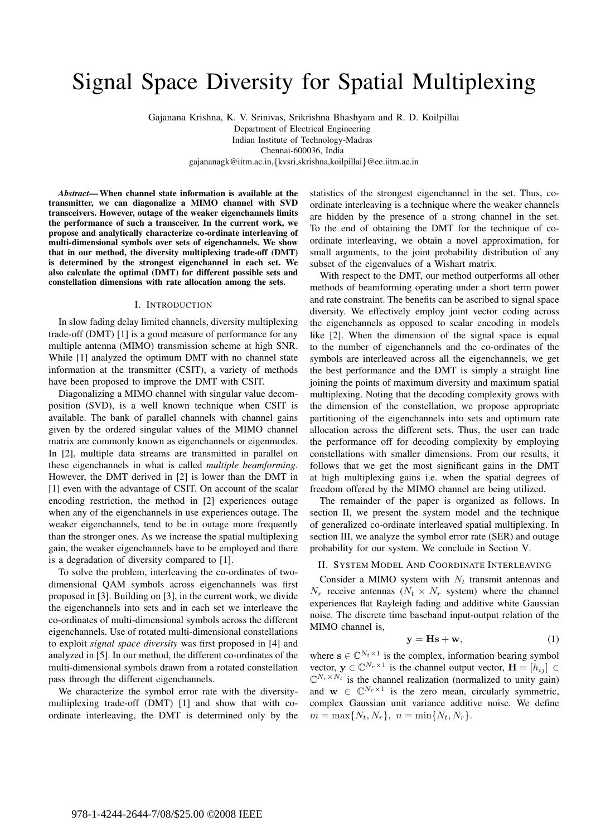# Signal Space Diversity for Spatial Multiplexing

Gajanana Krishna, K. V. Srinivas, Srikrishna Bhashyam and R. D. Koilpillai Department of Electrical Engineering Indian Institute of Technology-Madras Chennai-600036, India gajananagk@iitm.ac.in,*{*kvsri,skrishna,koilpillai*}*@ee.iitm.ac.in

*Abstract***—When channel state information is available at the transmitter, we can diagonalize a MIMO channel with SVD transceivers. However, outage of the weaker eigenchannels limits the performance of such a transceiver. In the current work, we propose and analytically characterize co-ordinate interleaving of multi-dimensional symbols over sets of eigenchannels. We show that in our method, the diversity multiplexing trade-off (DMT) is determined by the strongest eigenchannel in each set. We also calculate the optimal (DMT) for different possible sets and constellation dimensions with rate allocation among the sets.**

# I. INTRODUCTION

In slow fading delay limited channels, diversity multiplexing trade-off (DMT) [1] is a good measure of performance for any multiple antenna (MIMO) transmission scheme at high SNR. While [1] analyzed the optimum DMT with no channel state information at the transmitter (CSIT), a variety of methods have been proposed to improve the DMT with CSIT.

Diagonalizing a MIMO channel with singular value decomposition (SVD), is a well known technique when CSIT is available. The bank of parallel channels with channel gains given by the ordered singular values of the MIMO channel matrix are commonly known as eigenchannels or eigenmodes. In [2], multiple data streams are transmitted in parallel on these eigenchannels in what is called *multiple beamforming*. However, the DMT derived in [2] is lower than the DMT in [1] even with the advantage of CSIT. On account of the scalar encoding restriction, the method in [2] experiences outage when any of the eigenchannels in use experiences outage. The weaker eigenchannels, tend to be in outage more frequently than the stronger ones. As we increase the spatial multiplexing gain, the weaker eigenchannels have to be employed and there is a degradation of diversity compared to [1].

To solve the problem, interleaving the co-ordinates of twodimensional QAM symbols across eigenchannels was first proposed in [3]. Building on [3], in the current work, we divide the eigenchannels into sets and in each set we interleave the co-ordinates of multi-dimensional symbols across the different eigenchannels. Use of rotated multi-dimensional constellations to exploit *signal space diversity* was first proposed in [4] and analyzed in [5]. In our method, the different co-ordinates of the multi-dimensional symbols drawn from a rotated constellation pass through the different eigenchannels.

We characterize the symbol error rate with the diversitymultiplexing trade-off (DMT) [1] and show that with coordinate interleaving, the DMT is determined only by the statistics of the strongest eigenchannel in the set. Thus, coordinate interleaving is a technique where the weaker channels are hidden by the presence of a strong channel in the set. To the end of obtaining the DMT for the technique of coordinate interleaving, we obtain a novel approximation, for small arguments, to the joint probability distribution of any subset of the eigenvalues of a Wishart matrix.

With respect to the DMT, our method outperforms all other methods of beamforming operating under a short term power and rate constraint. The benefits can be ascribed to signal space diversity. We effectively employ joint vector coding across the eigenchannels as opposed to scalar encoding in models like [2]. When the dimension of the signal space is equal to the number of eigenchannels and the co-ordinates of the symbols are interleaved across all the eigenchannels, we get the best performance and the DMT is simply a straight line joining the points of maximum diversity and maximum spatial multiplexing. Noting that the decoding complexity grows with the dimension of the constellation, we propose appropriate partitioning of the eigenchannels into sets and optimum rate allocation across the different sets. Thus, the user can trade the performance off for decoding complexity by employing constellations with smaller dimensions. From our results, it follows that we get the most significant gains in the DMT at high multiplexing gains i.e. when the spatial degrees of freedom offered by the MIMO channel are being utilized.

The remainder of the paper is organized as follows. In section II, we present the system model and the technique of generalized co-ordinate interleaved spatial multiplexing. In section III, we analyze the symbol error rate (SER) and outage probability for our system. We conclude in Section V.

## II. SYSTEM MODEL AND COORDINATE INTERLEAVING

Consider a MIMO system with  $N_t$  transmit antennas and  $N_r$  receive antennas  $(N_t \times N_r$  system) where the channel experiences flat Rayleigh fading and additive white Gaussian noise. The discrete time baseband input-output relation of the MIMO channel is,

$$
y = Hs + w,\t\t(1)
$$

where  $\mathbf{s} \in \mathbb{C}^{N_t \times 1}$  is the complex, information bearing symbol vector,  $y \in \mathbb{C}^{N_r \times 1}$  is the channel output vector,  $\mathbf{H} = [h_{ij}] \in$  $\mathbb{C}^{N_r \times N_t}$  is the channel realization (normalized to unity gain) and  $\mathbf{w} \in \mathbb{C}^{N_r \times 1}$  is the zero mean, circularly symmetric, complex Gaussian unit variance additive noise. We define  $m = \max\{N_t, N_r\}, n = \min\{N_t, N_r\}.$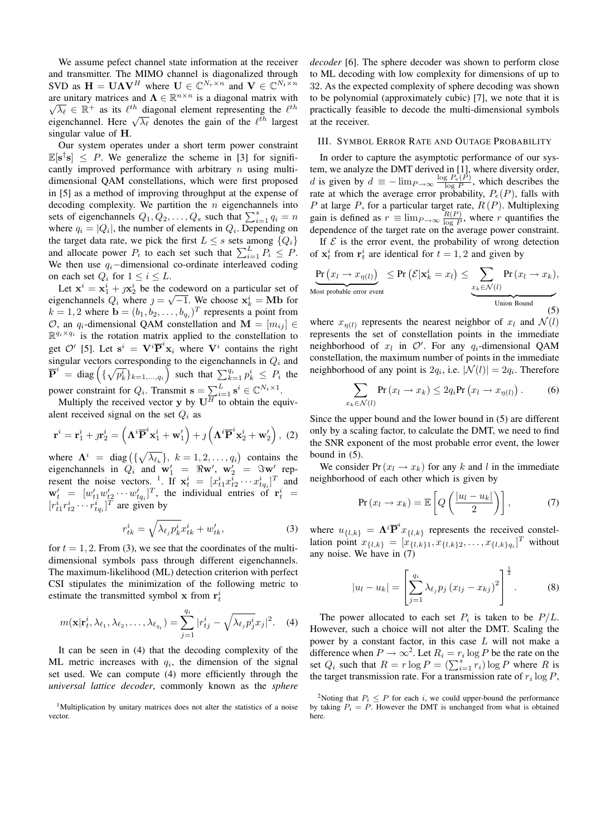We assume pefect channel state information at the receiver and transmitter. The MIMO channel is diagonalized through SVD as  $\mathbf{H} = \mathbf{U}\mathbf{\Lambda}\mathbf{V}^H$  where  $\mathbf{U} \in \mathbb{C}^{N_r \times n}$  and  $\mathbf{V} \in \mathbb{C}^{N_t \times n}$ are unitary matrices and  $\Lambda \in \mathbb{R}^{n \times n}$  is a diagonal matrix with are unitary matrices and  $\Lambda \in \mathbb{R}$  is a diagonal matrix with  $\sqrt{\lambda_{\ell}} \in \mathbb{R}^+$  as its  $\ell^{th}$  diagonal element representing the  $\ell^{th}$  eigenchannel. Here  $\sqrt{\lambda_{\ell}}$  denotes the gain of the  $\ell^{th}$  largest singular value of **H**.

Our system operates under a short term power constraint  $\mathbb{E}[\mathbf{s}^{\dagger}\mathbf{s}] \leq P$ . We generalize the scheme in [3] for significantly improved performance with arbitrary  $n$  using multidimensional QAM constellations, which were first proposed in [5] as a method of improving throughput at the expense of decoding complexity. We partition the  $n$  eigenchannels into sets of eigenchannels  $Q_1, Q_2, \ldots, Q_s$  such that  $\sum_{i=1}^s q_i = n$ <br>where  $a_i = |O_i|$  the number of elements in Q. Depending on where  $q_i = |Q_i|$ , the number of elements in  $Q_i$ . Depending on the target data rate, we pick the first  $L \leq s$  sets among  $\{Q_i\}$ and allocate power  $P_i$  to each set such that  $\sum_{i=1}^{L} P_i \leq P$ .<br>We then use a -dimensional co-ordinate interleaved coding We then use  $q_i$ -dimensional co-ordinate interleaved coding on each set  $Q_i$  for  $1 \leq i \leq L$ .

Let  $\mathbf{x}^i = \mathbf{x}^i + j\mathbf{x}^i$  be the codeword on a particular set of renchannels O, where  $i = \sqrt{-1}$  We choose  $\mathbf{x}^i = \mathbf{M}\mathbf{h}$  for Let  $\mathbf{x} = \mathbf{x}_1 + j\mathbf{x}_2$  be the codeword on a particular set of<br>eigenchannels  $Q_i$  where  $j = \sqrt{-1}$ . We choose  $\mathbf{x}_k^i = \mathbf{M}\mathbf{b}$  for  $k = 1, 2$  where  $\mathbf{b} = (b_1, b_2, \dots, b_{q_i})^T$  represents a point from O, an  $q_i$ -dimensional QAM constellation and  $\mathbf{M} = [m_{ij}] \in$  $\mathbb{R}^{q_i \times q_i}$  is the rotation matrix applied to the constellation to get  $O'$  [5]. Let  $\mathbf{s}^i = \mathbf{V}^i \overline{\mathbf{P}}^i \mathbf{x}_i$  where  $\mathbf{V}^i$  contains the right<br>singular vectors corresponding to the eigenchannels in  $O_1$  and singular vectors corresponding to the eigenchannels in  $Q_i$  and  $\overline{\mathbf{P}}^i$  = diag  $\left(\{\sqrt{p_k^i}\}_{k=1,\dots,q_i}\right)$  such that  $\sum_{k=1}^{q_i} p_k^i \leq P_i$  the power constraint for  $Q_i$ . Transmit  $\mathbf{s} = \sum_{i=1}^L \mathbf{s}^i \in \mathbb{C}^{N_t \times 1}$ .<br>Multiply the received vector **y** by  $\mathbf{U}^H$  to obtain the equiv-

alent received signal on the set  $Q_i$  as

$$
\mathbf{r}^{i} = \mathbf{r}_{1}^{i} + \jmath \mathbf{r}_{2}^{i} = \left(\boldsymbol{\Lambda}^{i} \overline{\mathbf{P}}^{i} \mathbf{x}_{1}^{i} + \mathbf{w}_{1}'\right) + \jmath \left(\boldsymbol{\Lambda}^{i} \overline{\mathbf{P}}^{i} \mathbf{x}_{2}^{i} + \mathbf{w}_{2}'\right), (2)
$$

where  $\Lambda^i$  = diag  $(\{\sqrt{\lambda_{\ell_k}}\}, k = 1, 2, ..., q_i)$  contains the eigenchannels in  $Q_i$  and  $\mathbf{w}'_1 = \Re \mathbf{w}'$ ,  $\mathbf{w}'_2 = \Im \mathbf{w}'$  rep-<br>resent the noise vectors  $\frac{1}{2}$  If  $\mathbf{x}^i = [x^i, x^i, \dots, x^i, x^i]$  and resent the noise vectors. <sup>1</sup>. If  $\mathbf{x}_t^i = [x_{t1}^i x_{t2}^i \cdots x_{tq_i}^i]^T$  and  $\mathbf{w}' = [w', w', \dots, w']^T$  the individual entries of  $\mathbf{r}^i$ resent the noise vectors.  $\therefore$  If  $\mathbf{x}_t^* = [x_{t1}^* x_{t2}^* \cdots x_{tq_i}^*]^T$  and  $\mathbf{w}'_t = [w'_{t1} w'_{t2} \cdots w'_{tq_i}^T]^T$ , the individual entries of  $\mathbf{r}_t^i = [r_{t1}^i r_{t2}^i \cdots r_{tq_i}^i]^T$  are given by

$$
r_{tk}^i = \sqrt{\lambda_{\ell_j} p_k^i} x_{tk}^i + w_{tk}', \qquad (3)
$$

for  $t = 1, 2$ . From (3), we see that the coordinates of the multidimensional symbols pass through different eigenchannels. The maximum-likelihood (ML) detection criterion with perfect CSI stipulates the minimization of the following metric to estimate the transmitted symbol **x** from  $\mathbf{r}_t^i$ 

$$
m(\mathbf{x}|\mathbf{r}_t^i,\lambda_{\ell_1},\lambda_{\ell_2},\ldots,\lambda_{\ell_{q_i}})=\sum_{j=1}^{q_i}|r_{tj}^i-\sqrt{\lambda_{\ell_j}p_j^i}x_j|^2.\quad (4)
$$

It can be seen in (4) that the decoding complexity of the ML metric increases with  $q_i$ , the dimension of the signal set used. We can compute (4) more efficiently through the *universal lattice decoder*, commonly known as the *sphere* *decoder* [6]. The sphere decoder was shown to perform close to ML decoding with low complexity for dimensions of up to 32. As the expected complexity of sphere decoding was shown to be polynomial (approximately cubic) [7], we note that it is practically feasible to decode the multi-dimensional symbols at the receiver.

## III. SYMBOL ERROR RATE AND OUTAGE PROBABILITY

In order to capture the asymptotic performance of our system, we analyze the DMT derived in [1], where diversity order, d is given by  $d \equiv -\lim_{P\to\infty} \frac{\log P_e(P)}{\log P}$ , which describes the rate at which the average error probability  $P(P)$  falls with rate at which the average error probability,  $P_e(P)$ , falls with P at large P, for a particular target rate,  $R(P)$ . Multiplexing P at large P, for a particular target rate,  $R(P)$ . Multiplexing<br>gain is defined as  $r = \lim_{R(P)} R(P)$ , where r quantifies the gain is defined as  $r = \lim_{P \to \infty} \frac{R(P)}{\log P}$ , where r quantifies the dependence of the target rate on the average nower constraint dependence of the target rate on the average power constraint.

If  $\mathcal E$  is the error event, the probability of wrong detection of  $\mathbf{x}_t^i$  from  $\mathbf{r}_t^i$  are identical for  $t = 1, 2$  and given by

$$
\underbrace{\Pr\left(x_l \to x_{\eta(l)}\right)}_{\text{Most probable error event}} \leq \Pr\left(\mathcal{E}|\mathbf{x}_k^i = x_l\right) \leq \underbrace{\sum_{x_k \in \mathcal{N}(l)} \Pr\left(x_l \to x_k\right)}_{\text{Union Bound}},\tag{5}
$$

where  $x_{n(l)}$  represents the nearest neighbor of  $x_l$  and  $\mathcal{N}(l)$ represents the set of constellation points in the immediate neighborhood of  $x_l$  in  $\mathcal{O}'$ . For any  $q_i$ -dimensional QAM constellation, the maximum number of points in the immediate neighborhood of any point is  $2q_i$ , i.e.  $|\mathcal{N}(l)| = 2q_i$ . Therefore

$$
\sum_{x_k \in \mathcal{N}(l)} \Pr(x_l \to x_k) \le 2q_i \Pr(x_l \to x_{\eta(l)}).
$$
 (6)

Since the upper bound and the lower bound in (5) are different only by a scaling factor, to calculate the DMT, we need to find the SNR exponent of the most probable error event, the lower bound in (5).

We consider Pr( $x_l \rightarrow x_k$ ) for any k and l in the immediate neighborhood of each other which is given by

$$
\Pr(x_l \to x_k) = \mathbb{E}\left[Q\left(\frac{|u_l - u_k|}{2}\right)\right],\tag{7}
$$

where  $u_{\{l,k\}} = \Lambda^i \overline{P}^i x_{\{l,k\}}$  represents the received constellation point  $x_{\{l,k\}} = [x_{\{l,k\}} \ x_{\{l,k\}} \ x_{\{l,k\}} \ x_{\{l,k\}}]^T$  without lation point  $x_{\{l,k\}} = [x_{\{l,k\}1}, x_{\{l,k\}2}, \ldots, x_{\{l,k\}q_i} ]^T$  without any noise. We have in (7)

$$
|u_{l} - u_{k}| = \left[\sum_{j=1}^{q_{i}} \lambda_{\ell_{j}} p_{j} (x_{lj} - x_{kj})^{2}\right]^{\frac{1}{2}}.
$$
 (8)

The power allocated to each set  $P_i$  is taken to be  $P/L$ . However, such a choice will not alter the DMT. Scaling the power by a constant factor, in this case L will not make a difference when  $P \to \infty^2$ . Let  $R_i = r_i \log P$  be the rate on the set  $Q_i$  such that  $R = r \log P = (\sum_{i=1}^s r_i) \log P$  where R is<br>the target transmission rate. For a transmission rate of r,  $\log P$ the target transmission rate. For a transmission rate of  $r_i \log P$ ,

<sup>&</sup>lt;sup>1</sup>Multiplication by unitary matrices does not alter the statistics of a noise vector.

<sup>&</sup>lt;sup>2</sup>Noting that  $P_i \leq P$  for each *i*, we could upper-bound the performance by taking  $P_i = P$ . However the DMT is unchanged from what is obtained here.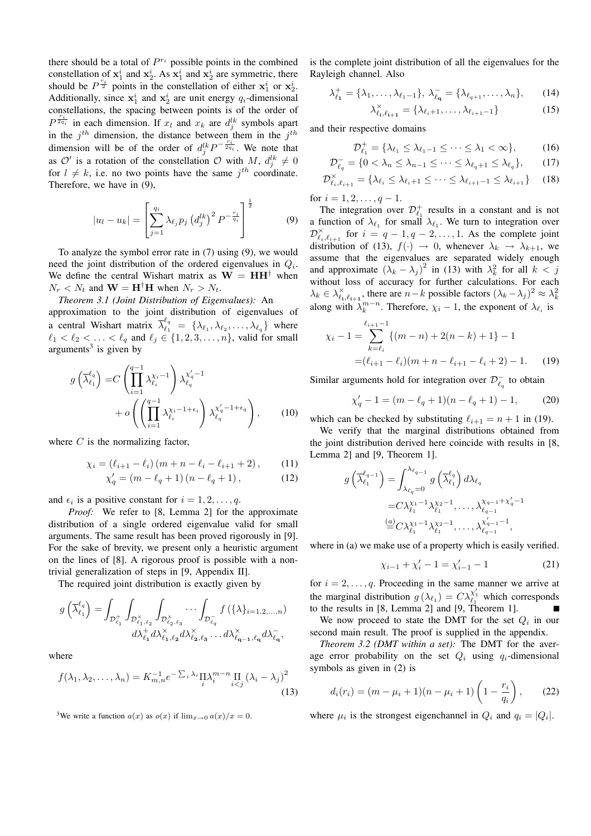there should be a total of  $P^{r_i}$  possible points in the combined constellation of  $\mathbf{x}_1^i$  and  $\mathbf{x}_2^i$ . As  $\mathbf{x}_1^i$  and  $\mathbf{x}_2^i$  are symmetric, there should be  $P^{\frac{r_1}{2}}$  points in the constellation of either  $\mathbf{x}_1^i$  or  $\mathbf{x}_2^i$ . Additionally, since  $x_1^i$  and  $x_2^i$  are unit energy  $q_i$ -dimensional constallations, the program between points is of the order of constellations, the spacing between points is of the order of  $P^{\frac{r_i}{2q_i}}$  in each dimension. If  $x_l$  and  $x_k$  are  $d_i^{lk}$  symbols apart in the  $j<sup>th</sup>$  dimension, the distance between them in the  $j<sup>th</sup>$ dimension will be of the order of  $d_i^lk P^{-\frac{r_i}{2q_i}}$ . We note that as  $\mathcal{O}'$  is a rotation of the constellation  $\mathcal O$  with M,  $d_i^{lk}$ for  $l \neq k$ , i.e. no two points have the same  $j^{th}$  coordinate.<br>Therefore, we have in (9) Therefore, we have in (9),

$$
|u_{l} - u_{k}| = \left[\sum_{j=1}^{q_{i}} \lambda_{\ell_{j}} p_{j} \left(d_{j}^{lk}\right)^{2} P^{-\frac{r_{i}}{q_{i}}}\right]^{\frac{1}{2}}
$$
(9)

To analyze the symbol error rate in (7) using (9), we would need the joint distribution of the ordered eigenvalues in  $Q_i$ . We define the central Wishart matrix as  $W = HH^{\dagger}$  when  $N_r < N_t$  and  $\mathbf{W} = \mathbf{H}^\dagger \mathbf{H}$  when  $N_r > N_t$ .

*Theorem 3.1 (Joint Distribution of Eigenvalues):* An approximation to the joint distribution of eigenvalues of a central Wishart matrix  $\overline{\lambda}_{\ell_1}^{\ell_q} = {\lambda_{\ell_1}, \lambda_{\ell_2}, \ldots, \lambda_{\ell_q}}$  where  $\ell_1 < \ell_2 < \ldots < \ell_q$  and  $\ell_j \in \{1, 2, 3, \ldots, n\}$ , valid for small around the strain by  $arguments<sup>3</sup>$  is given by

$$
g\left(\overline{\lambda}_{\ell_1}^{\ell_q}\right) = C\left(\prod_{i=1}^{q-1} \lambda_{\ell_i}^{\chi_i-1}\right) \lambda_{\ell_q}^{\chi'_q-1} + o\left(\left(\prod_{i=1}^{q-1} \lambda_{\ell_i}^{\chi_i-1+\epsilon_i}\right) \lambda_{\ell_q}^{\chi'_q-1+\epsilon_q}\right),\qquad(10)
$$

where  $C$  is the normalizing factor,

$$
\chi_i = (\ell_{i+1} - \ell_i) (m + n - \ell_i - \ell_{i+1} + 2), \qquad (11)
$$

$$
\chi'_{q} = (m - \ell_{q} + 1) (n - \ell_{q} + 1), \tag{12}
$$

and  $\epsilon_i$  is a positive constant for  $i = 1, 2, \ldots, q$ .

*Proof:* We refer to [8, Lemma 2] for the approximate distribution of a single ordered eigenvalue valid for small arguments. The same result has been proved rigorously in [9]. For the sake of brevity, we present only a heuristic argument on the lines of [8]. A rigorous proof is possible with a nontrivial generalization of steps in [9, Appendix II].

The required joint distribution is exactly given by

$$
g\left(\overline{\lambda}_{\ell_1}^{\ell_q}\right) = \int_{\mathcal{D}_{\ell_1}^+} \int_{\mathcal{D}_{\ell_1,\ell_2}^\times} \int_{\mathcal{D}_{\ell_2,\ell_3}^\times} \cdots \int_{\mathcal{D}_{\ell_q}^-} f\left(\{\lambda\}_{i=1,2,\ldots,n}\right)
$$

$$
d\lambda_{\ell_1}^+ d\lambda_{\ell_1,\ell_2}^\times d\lambda_{\ell_2,\ell_3}^\times \ldots d\lambda_{\ell_{q-1},\ell_q}^\times d\lambda_{\ell_q}^-,
$$

where

$$
f(\lambda_1, \lambda_2, \dots, \lambda_n) = K_{m,n}^{-1} e^{-\sum_i \lambda_i} \prod_i \lambda_i^{m-n} \prod_{i < j} \left(\lambda_i - \lambda_j\right)^2 \tag{13}
$$

<sup>3</sup>We write a function  $a(x)$  as  $o(x)$  if  $\lim_{x\to 0} a(x)/x = 0$ .

is the complete joint distribution of all the eigenvalues for the Rayleigh channel. Also

$$
\lambda_{\ell_1}^+ = \{\lambda_1, \dots, \lambda_{\ell_1 - 1}\}, \lambda_{\ell_q}^- = \{\lambda_{\ell_{q+1}}, \dots, \lambda_n\},\qquad(14)
$$

$$
\lambda_{\ell_i,\ell_{i+1}}^{\times} = \{\lambda_{\ell_i+1},\ldots,\lambda_{\ell_{i+1}-1}\}\tag{15}
$$

and their respective domains

$$
\mathcal{D}_{\ell_1}^+ = \{ \lambda_{\ell_1} \le \lambda_{\ell_1 - 1} \le \dots \le \lambda_1 < \infty \},\tag{16}
$$

$$
\mathcal{D}_{\ell_q}^- = \{ 0 < \lambda_n \le \lambda_{n-1} \le \cdots \le \lambda_{\ell_q + 1} \le \lambda_{\ell_q} \},\tag{17}
$$

$$
\mathcal{D}_{\ell_i,\ell_{i+1}}^{\times} = \{ \lambda_{\ell_i} \le \lambda_{\ell_i+1} \le \cdots \le \lambda_{\ell_{i+1}-1} \le \lambda_{\ell_{i+1}} \} \qquad (18)
$$

for  $i = 1, 2, \ldots, q - 1$ .

The integration over  $\mathcal{D}_{\ell_1}^+$  results in a constant and is not a function of  $\lambda_{\ell_1}$  for small  $\lambda_{\ell_1}$ . We turn to integration over  $\mathcal{D}_{\ell_i,\ell_{i+1}}^{\times}$  for  $i = q - 1, q - 2,..., 1$ . As the complete joint distribution of (13)  $f(.) \rightarrow 0$  whenever  $\lambda_i \rightarrow \lambda_{i+1}$  we distribution of (13),  $f(\cdot) \rightarrow 0$ , whenever  $\lambda_k \rightarrow \lambda_{k+1}$ , we assume that the eigenvalues are separated widely enough and approximate  $(\lambda_k - \lambda_j)^2$  in (13) with  $\lambda_k^2$  for all  $k < j$ <br>without loss of accuracy for further calculations. For each without loss of accuracy for further calculations. For each  $\lambda_k \in \lambda_{i_1, \ell_{i+1}}^{\times}$ , there are  $n-k$  possible factors  $(\lambda_k - \lambda_j)^2 \approx \lambda_k^2$ along with  $\lambda_k^{m-n}$ . Therefore,  $\chi_i - 1$ , the exponent of  $\lambda_{\ell_i}$  is

$$
\chi_i - 1 = \sum_{k=\ell_i}^{\ell_{i+1}-1} \{ (m-n) + 2(n-k) + 1 \} - 1
$$
  
=  $(\ell_{i+1} - \ell_i)(m+n-\ell_{i+1} - \ell_i + 2) - 1.$  (19)

Similar arguments hold for integration over  $\mathcal{D}_{\ell_q}^-$  to obtain

$$
\chi'_q - 1 = (m - \ell_q + 1)(n - \ell_q + 1) - 1,\tag{20}
$$

which can be checked by substituting  $\ell_{i+1} = n + 1$  in (19).

We verify that the marginal distributions obtained from the joint distribution derived here coincide with results in [8, Lemma 2] and [9, Theorem 1].

$$
g\left(\overline{\lambda}_{\ell_1}^{\ell_{q-1}}\right) = \int_{\lambda_{\ell_q}=0}^{\lambda_{\ell_{q-1}}} g\left(\overline{\lambda}_{\ell_1}^{\ell_q}\right) d\lambda_{\ell_q}
$$
  
=  $C\lambda_{\ell_1}^{\chi_1-1} \lambda_{\ell_1}^{\chi_2-1}, \dots, \lambda_{\ell_{q-1}}^{\chi_{q-1}+\chi_q'-1}$   
=  $C\lambda_{\ell_1}^{\chi_1-1} \lambda_{\ell_1}^{\chi_2-1}, \dots, \lambda_{\ell_{q-1}}^{\chi_{q-1}'-1},$ 

where in (a) we make use of a property which is easily verified.

$$
\chi_{i-1} + \chi'_i - 1 = \chi'_{i-1} - 1 \tag{21}
$$

for  $i = 2, \ldots, q$ . Proceeding in the same manner we arrive at the marginal distribution  $g(\lambda_{\ell_1}) = C \lambda_{\ell_1}^{\chi'_1}$  which corresponds<br>to the results in [8, Lemma 2] and [9, Theorem 1] to the results in [8, Lemma 2] and [9, Theorem 1].

We now proceed to state the DMT for the set  $Q_i$  in our second main result. The proof is supplied in the appendix.

*Theorem 3.2 (DMT within a set):* The DMT for the average error probability on the set  $Q_i$  using  $q_i$ -dimensional symbols as given in (2) is

$$
d_i(r_i) = (m - \mu_i + 1)(n - \mu_i + 1)\left(1 - \frac{r_i}{q_i}\right), \qquad (22)
$$

where  $\mu_i$  is the strongest eigenchannel in  $Q_i$  and  $q_i = |Q_i|$ .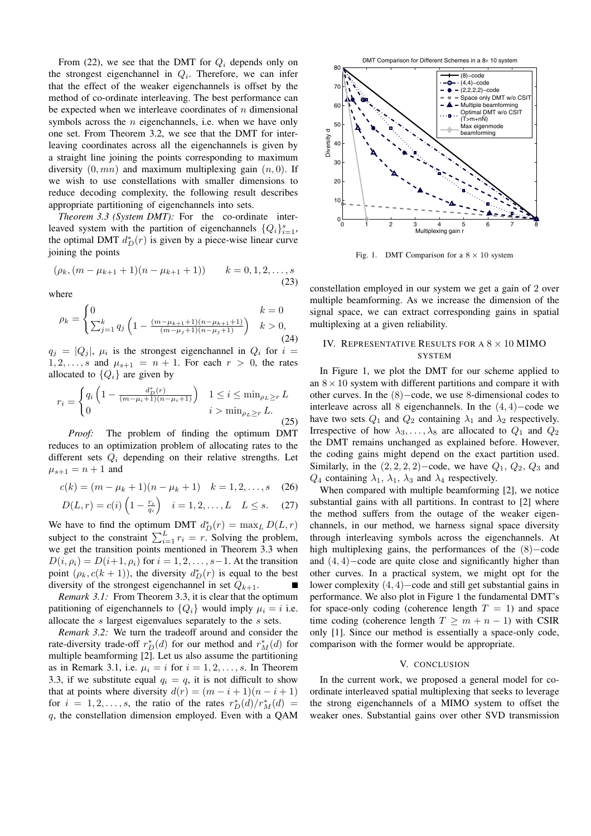From (22), we see that the DMT for  $Q_i$  depends only on the strongest eigenchannel in  $Q_i$ . Therefore, we can infer that the effect of the weaker eigenchannels is offset by the method of co-ordinate interleaving. The best performance can be expected when we interleave coordinates of  $n$  dimensional symbols across the  $n$  eigenchannels, i.e. when we have only one set. From Theorem 3.2, we see that the DMT for interleaving coordinates across all the eigenchannels is given by a straight line joining the points corresponding to maximum diversity  $(0, mn)$  and maximum multiplexing gain  $(n, 0)$ . If we wish to use constellations with smaller dimensions to reduce decoding complexity, the following result describes appropriate partitioning of eigenchannels into sets.

*Theorem 3.3 (System DMT):* For the co-ordinate interleaved system with the partition of eigenchannels  ${Q_i}_{i=1}^s$ ,<br>the optimal DMT  $d^*(x)$  is given by a piece wise linear curve the optimal DMT  $d_D^*(r)$  is given by a piece-wise linear curve<br>ioining the points joining the points

$$
(\rho_k, (m - \mu_{k+1} + 1)(n - \mu_{k+1} + 1)) \qquad k = 0, 1, 2, \dots, s
$$
\n(23)

where

$$
\rho_k = \begin{cases} 0 & k = 0\\ \sum_{j=1}^k q_j \left( 1 - \frac{(m - \mu_{k+1} + 1)(n - \mu_{k+1} + 1)}{(m - \mu_j + 1)(n - \mu_j + 1)} \right) & k > 0, \end{cases}
$$
(24)

 $q_j = |Q_j|$ ,  $\mu_i$  is the strongest eigenchannel in  $Q_i$  for  $i =$  $1, 2, \ldots, s$  and  $\mu_{s+1} = n + 1$ . For each  $r > 0$ , the rates allocated to  $\{Q_i\}$  are given by

$$
r_{i} = \begin{cases} q_{i} \left( 1 - \frac{d_{D}^{*}(r)}{(m - \mu_{i} + 1)(n - \mu_{i} + 1)} \right) & 1 \leq i \leq \min_{\rho_{L} \geq r} L \\ 0 & i > \min_{\rho_{L} \geq r} L. \end{cases}
$$
(25)

*Proof:* The problem of finding the optimum DMT reduces to an optimization problem of allocating rates to the different sets  $Q_i$  depending on their relative strengths. Let  $\mu_{s+1} = n + 1$  and

$$
c(k) = (m - \mu_k + 1)(n - \mu_k + 1) \quad k = 1, 2, \dots, s \quad (26)
$$

$$
D(L,r) = c(i) \left(1 - \frac{r_i}{q_i}\right) \quad i = 1, 2, \dots, L \quad L \leq s. \tag{27}
$$

We have to find the optimum DMT  $d_D^*(r) = \max_L D(L, r)$ <br>subject to the constraint  $\sum_L r = r$  Solving the problem subject to the constraint  $\sum_{i=1}^{L} r_i = r$ . Solving the problem, we get the transition points mentioned in Theorem 3.3 when  $D(i, \rho_i) = D(i+1, \rho_i)$  for  $i = 1, 2, \ldots, s-1$ . At the transition point  $(\rho_k, c(k+1))$ , the diversity  $d_D^*(r)$  is equal to the best<br>diversity of the strongest eigenchannel in set  $\Omega_{k,k}$ diversity of the strongest eigenchannel in set  $Q_{k+1}$ .

*Remark 3.1:* From Theorem 3.3, it is clear that the optimum patitioning of eigenchannels to  $\{Q_i\}$  would imply  $\mu_i = i$  i.e. allocate the s largest eigenvalues separately to the s sets.

*Remark 3.2:* We turn the tradeoff around and consider the rate-diversity trade-off  $r_D^*(d)$  for our method and  $r_M^*(d)$  for multiple beamforming [2]. Let us also assume the partitioning multiple beamforming [2]. Let us also assume the partitioning as in Remark 3.1, i.e.  $\mu_i = i$  for  $i = 1, 2, \ldots, s$ . In Theorem 3.3, if we substitute equal  $q_i = q$ , it is not difficult to show that at points where diversity  $d(r)=(m - i + 1)(n - i + 1)$ for  $i = 1, 2, ..., s$ , the ratio of the rates  $r_D^*(d)/r_M^*(d) = a$ , the constellation dimension employed. Even with a OAM q, the constellation dimension employed. Even with a QAM





Fig. 1. DMT Comparison for a  $8 \times 10$  system

constellation employed in our system we get a gain of 2 over multiple beamforming. As we increase the dimension of the signal space, we can extract corresponding gains in spatial multiplexing at a given reliability.

# IV. REPRESENTATIVE RESULTS FOR A  $8 \times 10$  MIMO **SYSTEM**

In Figure 1, we plot the DMT for our scheme applied to an  $8 \times 10$  system with different partitions and compare it with other curves. In the (8)−code, we use 8-dimensional codes to interleave across all 8 eigenchannels. In the (4, 4)−code we have two sets  $Q_1$  and  $Q_2$  containing  $\lambda_1$  and  $\lambda_2$  respectively. Irrespective of how  $\lambda_3, \ldots, \lambda_8$  are allocated to  $Q_1$  and  $Q_2$ the DMT remains unchanged as explained before. However, the coding gains might depend on the exact partition used. Similarly, in the  $(2, 2, 2, 2)$ −code, we have  $Q_1$ ,  $Q_2$ ,  $Q_3$  and  $Q_4$  containing  $\lambda_1$ ,  $\lambda_1$ ,  $\lambda_3$  and  $\lambda_4$  respectively.

When compared with multiple beamforming [2], we notice substantial gains with all partitions. In contrast to [2] where the method suffers from the outage of the weaker eigenchannels, in our method, we harness signal space diversity through interleaving symbols across the eigenchannels. At high multiplexing gains, the performances of the (8)−code and (4, 4)−code are quite close and significantly higher than other curves. In a practical system, we might opt for the lower complexity (4, 4)−code and still get substantial gains in performance. We also plot in Figure 1 the fundamental DMT's for space-only coding (coherence length  $T = 1$ ) and space time coding (coherence length  $T \geq m + n - 1$ ) with CSIR only [1]. Since our method is essentially a space-only code, comparison with the former would be appropriate.

## V. CONCLUSION

In the current work, we proposed a general model for coordinate interleaved spatial multiplexing that seeks to leverage the strong eigenchannels of a MIMO system to offset the weaker ones. Substantial gains over other SVD transmission